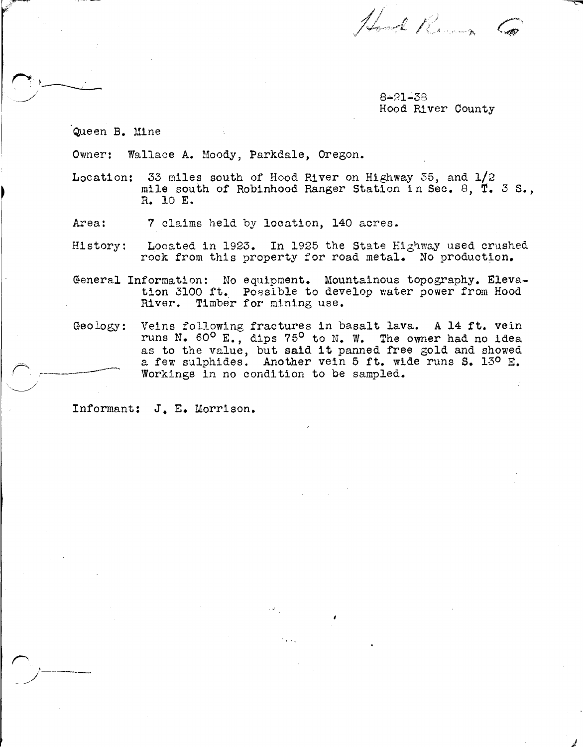Hod Run Co

8-81-38 Hood River County

*j* 

Queen B. Mine

Owner: Wallace A. Moody, Parkdale, Oregon.

- Location: 33 miles south of Hood River on Highway 35, and  $1/2$ mile south of Robinhood Ranger Station in Sec. 8, T. 3 S., R. 10 E.
- Area: 7 claims held by location, 140 acres.
- History: Located in 1923. In 1925 the State Highway used crushed rock from this property for road metal. No production.
- General Information: No equipment. Mountainous topography. Elevation 3100 ft. Possible to develop water power from Hood River. Timber for mining use. Timber for mining use.
- Geology: Veins following fractures in basalt lava. A 14 ft. vein runs N. 60° E., dips 75° to N. W. The owner had no idea as to the value, but said it panned free gold and showed a few sulphides. Another vein 5 ft. wide runs s. 13° E. Workings in no condition to be sampled.

Informant: J.E. Morrison.